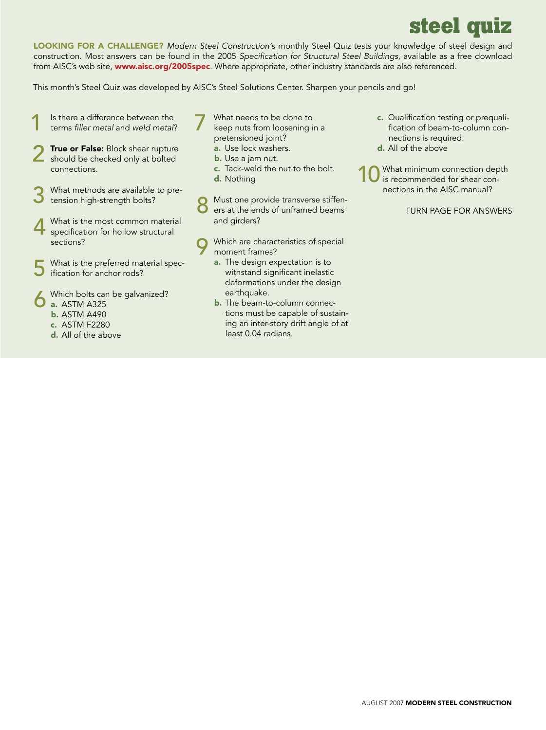## **steel quiz**

Looking for a challenge? *Modern Steel Construction'*s monthly Steel Quiz tests your knowledge of steel design and construction. Most answers can be found in the 2005 *Specification for Structural Steel Buildings*, available as a free download from AISC's web site, www.aisc.org/2005spec. Where appropriate, other industry standards are also referenced.

This month's Steel Quiz was developed by AISC's Steel Solutions Center. Sharpen your pencils and go!

- 1 Is there a difference between the terms *filler metal* and *weld metal*?
- 2 True or False: Block shear rupture should be checked only at bolted connections.
- What methods are available to pretension high-strength bolts?
- 4 What is the most common material<br>specification for hollow structural sections?
- What is the preferred material specification for anchor rods?
- Which bolts can be galvanized? a. ASTM A325
	- b. ASTM A490
	- c. ASTM F2280
	- d. All of the above
- What needs to be done to
- keep nuts from loosening in a pretensioned joint? a. Use lock washers.
	- b. Use a jam nut.
	- c. Tack-weld the nut to the bolt.
	- d. Nothing
- 8 Must one provide transverse stiffen-<br>
8 ers at the ends of unframed beams and girders?
- Which are characteristics of special moment frames?
	- a. The design expectation is to withstand significant inelastic deformations under the design earthquake.
	- **b.** The beam-to-column connections must be capable of sustaining an inter-story drift angle of at least 0.04 radians.
- c. Qualification testing or prequalification of beam-to-column connections is required.
- d. All of the above

What minimum connection depth is recommended for shear connections in the AISC manual?

Turn page for answers